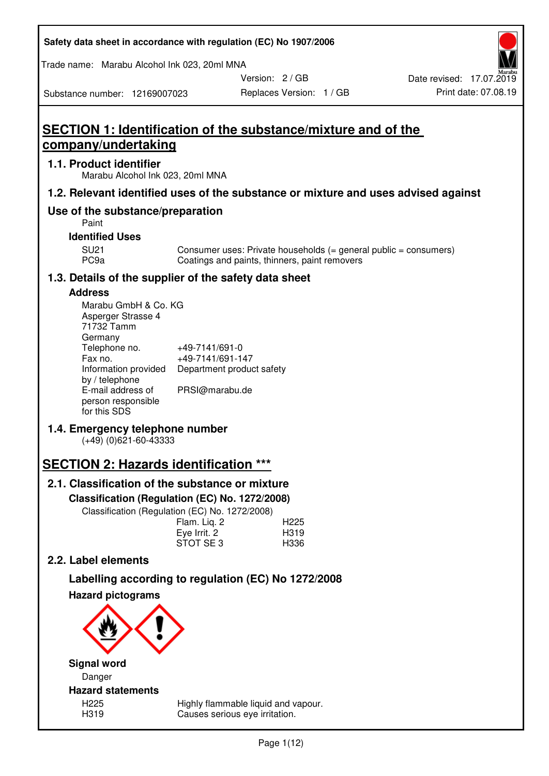| Safety data sheet in accordance with regulation (EC) No 1907/2006 |  |
|-------------------------------------------------------------------|--|
|-------------------------------------------------------------------|--|

Trade name: Marabu Alcohol Ink 023, 20ml MNA

Version: 2 / GB

Substance number: 12169007023

# **SECTION 1: Identification of the substance/mixture and of the company/undertaking**

# **1.1. Product identifier**

Marabu Alcohol Ink 023, 20ml MNA

# **1.2. Relevant identified uses of the substance or mixture and uses advised against**

# **Use of the substance/preparation**

Paint

### **Identified Uses**

SU21 Consumer uses: Private households (= general public = consumers)<br>PC9a Coatings and paints, thinners, paint removers Coatings and paints, thinners, paint removers

# **1.3. Details of the supplier of the safety data sheet**

# **Address**

| Marabu GmbH & Co. KG |                           |
|----------------------|---------------------------|
| Asperger Strasse 4   |                           |
| 71732 Tamm           |                           |
| Germany              |                           |
| Telephone no.        | +49-7141/691-0            |
| Fax no.              | +49-7141/691-147          |
| Information provided | Department product safety |
| by / telephone       |                           |
| E-mail address of    | PRSI@marabu.de            |
| person responsible   |                           |
| for this SDS         |                           |

# **1.4. Emergency telephone number**

(+49) (0)621-60-43333

# **SECTION 2: Hazards identification \*\*\***

# **2.1. Classification of the substance or mixture**

**Classification (Regulation (EC) No. 1272/2008)** 

Classification (Regulation (EC) No. 1272/2008)

|              | . |                  |
|--------------|---|------------------|
| Flam. Liq. 2 |   | H <sub>225</sub> |
| Eye Irrit. 2 |   | H319             |
| STOT SE3     |   | H336             |
|              |   |                  |

# **2.2. Label elements**

# **Labelling according to regulation (EC) No 1272/2008**



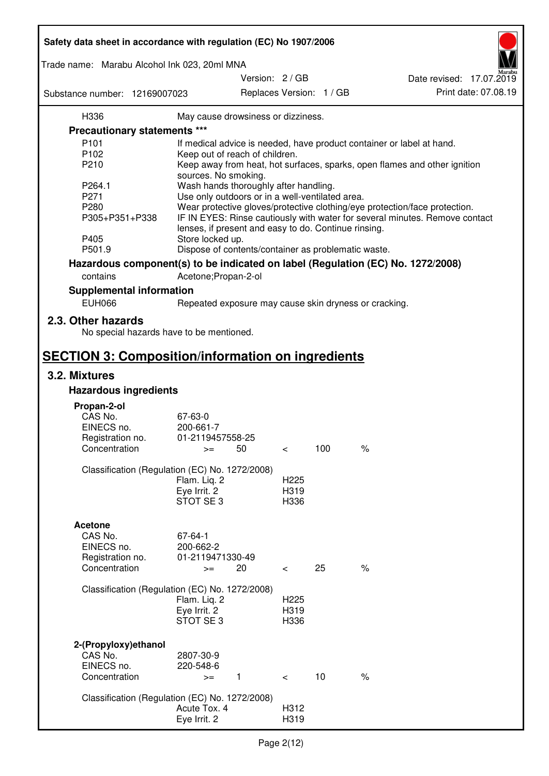| Safety data sheet in accordance with regulation (EC) No 1907/2006 |                                                       |                                             |     |                                                                                 |  |
|-------------------------------------------------------------------|-------------------------------------------------------|---------------------------------------------|-----|---------------------------------------------------------------------------------|--|
| Trade name: Marabu Alcohol Ink 023, 20ml MNA                      |                                                       |                                             |     |                                                                                 |  |
| Substance number: 12169007023                                     |                                                       | Version: 2 / GB<br>Replaces Version: 1 / GB |     | Date revised: 17.07.2019<br>Print date: 07.08.19                                |  |
| H336                                                              | May cause drowsiness or dizziness.                    |                                             |     |                                                                                 |  |
| <b>Precautionary statements ***</b>                               |                                                       |                                             |     |                                                                                 |  |
| P <sub>101</sub>                                                  |                                                       |                                             |     | If medical advice is needed, have product container or label at hand.           |  |
| P102                                                              | Keep out of reach of children.                        |                                             |     |                                                                                 |  |
| P210                                                              |                                                       |                                             |     | Keep away from heat, hot surfaces, sparks, open flames and other ignition       |  |
|                                                                   | sources. No smoking.                                  |                                             |     |                                                                                 |  |
| P264.1                                                            | Wash hands thoroughly after handling.                 |                                             |     |                                                                                 |  |
| P271                                                              | Use only outdoors or in a well-ventilated area.       |                                             |     |                                                                                 |  |
| P280                                                              |                                                       |                                             |     | Wear protective gloves/protective clothing/eye protection/face protection.      |  |
| P305+P351+P338                                                    |                                                       |                                             |     | IF IN EYES: Rinse cautiously with water for several minutes. Remove contact     |  |
|                                                                   | lenses, if present and easy to do. Continue rinsing.  |                                             |     |                                                                                 |  |
| P405                                                              | Store locked up.                                      |                                             |     |                                                                                 |  |
| P501.9                                                            | Dispose of contents/container as problematic waste.   |                                             |     |                                                                                 |  |
|                                                                   |                                                       |                                             |     | Hazardous component(s) to be indicated on label (Regulation (EC) No. 1272/2008) |  |
| contains                                                          | Acetone; Propan-2-ol                                  |                                             |     |                                                                                 |  |
| <b>Supplemental information</b>                                   |                                                       |                                             |     |                                                                                 |  |
| <b>EUH066</b>                                                     | Repeated exposure may cause skin dryness or cracking. |                                             |     |                                                                                 |  |
| 2.3. Other hazards<br>No special hazards have to be mentioned.    |                                                       |                                             |     |                                                                                 |  |
|                                                                   |                                                       |                                             |     |                                                                                 |  |
| <b>SECTION 3: Composition/information on ingredients</b>          |                                                       |                                             |     |                                                                                 |  |
| 3.2. Mixtures<br><b>Hazardous ingredients</b>                     |                                                       |                                             |     |                                                                                 |  |
|                                                                   |                                                       |                                             |     |                                                                                 |  |
| Propan-2-ol                                                       |                                                       |                                             |     |                                                                                 |  |
| CAS No.                                                           | 67-63-0                                               |                                             |     |                                                                                 |  |
| EINECS no.                                                        | 200-661-7                                             |                                             |     |                                                                                 |  |
| Registration no.                                                  | 01-2119457558-25                                      |                                             |     |                                                                                 |  |
| Concentration                                                     | 50<br>$>=$                                            | $\,<\,$                                     | 100 | $\%$                                                                            |  |
|                                                                   | Classification (Regulation (EC) No. 1272/2008)        |                                             |     |                                                                                 |  |
|                                                                   | Flam. Liq. 2                                          | H <sub>225</sub>                            |     |                                                                                 |  |
|                                                                   | Eye Irrit. 2                                          | H319                                        |     |                                                                                 |  |
|                                                                   | STOT SE3                                              | H336                                        |     |                                                                                 |  |
|                                                                   |                                                       |                                             |     |                                                                                 |  |
| <b>Acetone</b>                                                    |                                                       |                                             |     |                                                                                 |  |
| CAS No.                                                           | 67-64-1                                               |                                             |     |                                                                                 |  |
| EINECS no.                                                        | 200-662-2                                             |                                             |     |                                                                                 |  |
| Registration no.                                                  | 01-2119471330-49                                      |                                             |     |                                                                                 |  |
| Concentration                                                     | 20<br>$>=$                                            | $\,<\,$                                     | 25  | $\%$                                                                            |  |
|                                                                   | Classification (Regulation (EC) No. 1272/2008)        |                                             |     |                                                                                 |  |
|                                                                   | Flam. Liq. 2                                          | H <sub>225</sub>                            |     |                                                                                 |  |
|                                                                   | Eye Irrit. 2                                          | H319                                        |     |                                                                                 |  |
|                                                                   | STOT SE3                                              | H336                                        |     |                                                                                 |  |
|                                                                   |                                                       |                                             |     |                                                                                 |  |
| 2-(Propyloxy) ethanol                                             |                                                       |                                             |     |                                                                                 |  |
| CAS No.                                                           | 2807-30-9                                             |                                             |     |                                                                                 |  |
| EINECS no.                                                        | 220-548-6                                             |                                             |     |                                                                                 |  |
| Concentration                                                     | $\mathbf{1}$<br>$>=$                                  | $\lt$                                       | 10  | $\%$                                                                            |  |
|                                                                   |                                                       |                                             |     |                                                                                 |  |
|                                                                   | Classification (Regulation (EC) No. 1272/2008)        |                                             |     |                                                                                 |  |
|                                                                   | Acute Tox. 4                                          | H312                                        |     |                                                                                 |  |
|                                                                   | Eye Irrit. 2                                          | H319                                        |     |                                                                                 |  |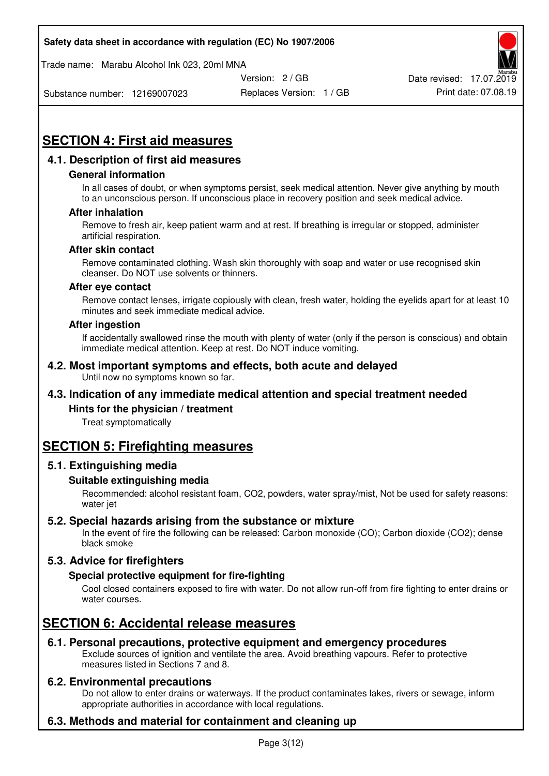Trade name: Marabu Alcohol Ink 023, 20ml MNA



Substance number: 12169007023

Replaces Version: 1 / GB Print date: 07.08.19

# **SECTION 4: First aid measures**

# **4.1. Description of first aid measures**

#### **General information**

In all cases of doubt, or when symptoms persist, seek medical attention. Never give anything by mouth to an unconscious person. If unconscious place in recovery position and seek medical advice.

#### **After inhalation**

Remove to fresh air, keep patient warm and at rest. If breathing is irregular or stopped, administer artificial respiration.

#### **After skin contact**

Remove contaminated clothing. Wash skin thoroughly with soap and water or use recognised skin cleanser. Do NOT use solvents or thinners.

#### **After eye contact**

Remove contact lenses, irrigate copiously with clean, fresh water, holding the eyelids apart for at least 10 minutes and seek immediate medical advice.

#### **After ingestion**

If accidentally swallowed rinse the mouth with plenty of water (only if the person is conscious) and obtain immediate medical attention. Keep at rest. Do NOT induce vomiting.

#### **4.2. Most important symptoms and effects, both acute and delayed**  Until now no symptoms known so far.

# **4.3. Indication of any immediate medical attention and special treatment needed**

#### **Hints for the physician / treatment**

Treat symptomatically

# **SECTION 5: Firefighting measures**

#### **5.1. Extinguishing media**

#### **Suitable extinguishing media**

Recommended: alcohol resistant foam, CO2, powders, water spray/mist, Not be used for safety reasons: water jet

#### **5.2. Special hazards arising from the substance or mixture**

In the event of fire the following can be released: Carbon monoxide (CO); Carbon dioxide (CO2); dense black smoke

# **5.3. Advice for firefighters**

#### **Special protective equipment for fire-fighting**

Cool closed containers exposed to fire with water. Do not allow run-off from fire fighting to enter drains or water courses.

# **SECTION 6: Accidental release measures**

#### **6.1. Personal precautions, protective equipment and emergency procedures**

Exclude sources of ignition and ventilate the area. Avoid breathing vapours. Refer to protective measures listed in Sections 7 and 8.

#### **6.2. Environmental precautions**

Do not allow to enter drains or waterways. If the product contaminates lakes, rivers or sewage, inform appropriate authorities in accordance with local regulations.

# **6.3. Methods and material for containment and cleaning up**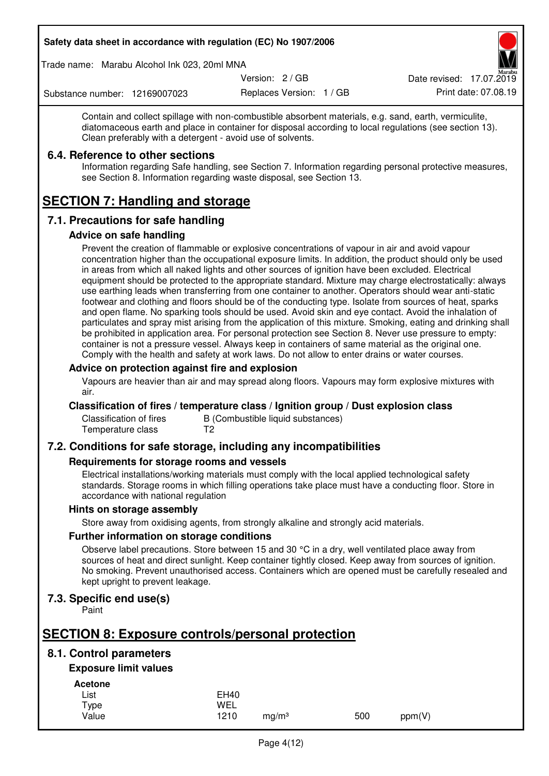Trade name: Marabu Alcohol Ink 023, 20ml MNA

Version: 2 / GB

Replaces Version: 1 / GB Print date: 07.08.19 Date revised: 17.07.2019

Substance number: 12169007023

Contain and collect spillage with non-combustible absorbent materials, e.g. sand, earth, vermiculite, diatomaceous earth and place in container for disposal according to local regulations (see section 13). Clean preferably with a detergent - avoid use of solvents.

### **6.4. Reference to other sections**

Information regarding Safe handling, see Section 7. Information regarding personal protective measures, see Section 8. Information regarding waste disposal, see Section 13.

# **SECTION 7: Handling and storage**

# **7.1. Precautions for safe handling**

#### **Advice on safe handling**

Prevent the creation of flammable or explosive concentrations of vapour in air and avoid vapour concentration higher than the occupational exposure limits. In addition, the product should only be used in areas from which all naked lights and other sources of ignition have been excluded. Electrical equipment should be protected to the appropriate standard. Mixture may charge electrostatically: always use earthing leads when transferring from one container to another. Operators should wear anti-static footwear and clothing and floors should be of the conducting type. Isolate from sources of heat, sparks and open flame. No sparking tools should be used. Avoid skin and eye contact. Avoid the inhalation of particulates and spray mist arising from the application of this mixture. Smoking, eating and drinking shall be prohibited in application area. For personal protection see Section 8. Never use pressure to empty: container is not a pressure vessel. Always keep in containers of same material as the original one. Comply with the health and safety at work laws. Do not allow to enter drains or water courses.

#### **Advice on protection against fire and explosion**

Vapours are heavier than air and may spread along floors. Vapours may form explosive mixtures with air.

#### **Classification of fires / temperature class / Ignition group / Dust explosion class**

Classification of fires B (Combustible liquid substances)<br>Temperature class T2 Temperature class

# **7.2. Conditions for safe storage, including any incompatibilities**

#### **Requirements for storage rooms and vessels**

Electrical installations/working materials must comply with the local applied technological safety standards. Storage rooms in which filling operations take place must have a conducting floor. Store in accordance with national regulation

#### **Hints on storage assembly**

Store away from oxidising agents, from strongly alkaline and strongly acid materials.

#### **Further information on storage conditions**

Observe label precautions. Store between 15 and 30 °C in a dry, well ventilated place away from sources of heat and direct sunlight. Keep container tightly closed. Keep away from sources of ignition. No smoking. Prevent unauthorised access. Containers which are opened must be carefully resealed and kept upright to prevent leakage.

# **7.3. Specific end use(s)**

Paint

# **SECTION 8: Exposure controls/personal protection**

# **8.1. Control parameters**

# **Exposure limit values**

**Acetone** 

| List  | <b>EH40</b> |                   |     |        |
|-------|-------------|-------------------|-----|--------|
| Type  | WEL         |                   |     |        |
| Value | 1210        | mg/m <sup>3</sup> | 500 | ppm(V) |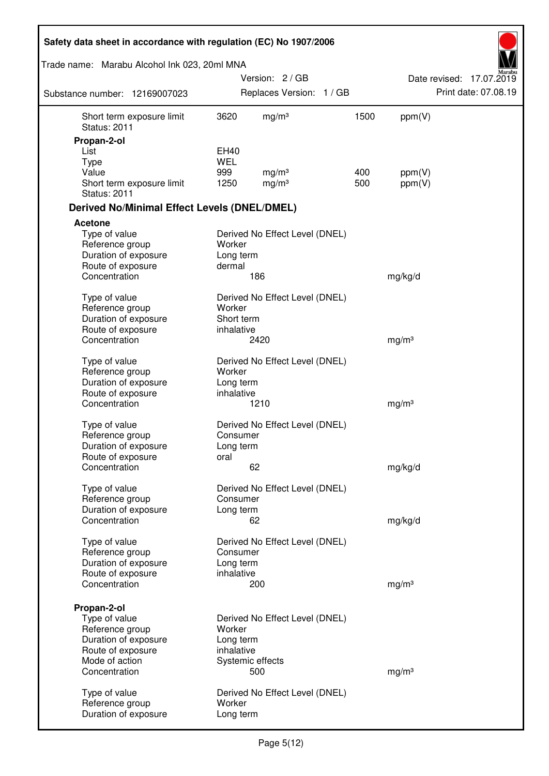| Safety data sheet in accordance with regulation (EC) No 1907/2006 |                         |                                |      |                   |                          |
|-------------------------------------------------------------------|-------------------------|--------------------------------|------|-------------------|--------------------------|
| Trade name: Marabu Alcohol Ink 023, 20ml MNA                      |                         |                                |      |                   |                          |
|                                                                   |                         | Version: 2/GB                  |      |                   | Date revised: 17.07.2019 |
| Substance number: 12169007023                                     |                         | Replaces Version: 1 / GB       |      |                   | Print date: 07.08.19     |
| Short term exposure limit<br><b>Status: 2011</b>                  | 3620                    | mg/m <sup>3</sup>              | 1500 | ppm(V)            |                          |
| Propan-2-ol                                                       |                         |                                |      |                   |                          |
| List                                                              | EH40<br><b>WEL</b>      |                                |      |                   |                          |
| <b>Type</b><br>Value                                              | 999                     | mg/m <sup>3</sup>              | 400  | ppm(V)            |                          |
| Short term exposure limit<br><b>Status: 2011</b>                  | 1250                    | mg/m <sup>3</sup>              | 500  | ppm(V)            |                          |
| <b>Derived No/Minimal Effect Levels (DNEL/DMEL)</b>               |                         |                                |      |                   |                          |
| <b>Acetone</b>                                                    |                         |                                |      |                   |                          |
| Type of value<br>Reference group<br>Duration of exposure          | Worker<br>Long term     | Derived No Effect Level (DNEL) |      |                   |                          |
| Route of exposure<br>Concentration                                | dermal                  | 186                            |      |                   |                          |
|                                                                   |                         |                                |      | mg/kg/d           |                          |
| Type of value<br>Reference group                                  | Worker                  | Derived No Effect Level (DNEL) |      |                   |                          |
| Duration of exposure                                              | Short term              |                                |      |                   |                          |
| Route of exposure<br>Concentration                                | inhalative              | 2420                           |      | mg/m <sup>3</sup> |                          |
| Type of value                                                     |                         | Derived No Effect Level (DNEL) |      |                   |                          |
| Reference group                                                   | Worker                  |                                |      |                   |                          |
| Duration of exposure                                              | Long term<br>inhalative |                                |      |                   |                          |
| Route of exposure<br>Concentration                                |                         | 1210                           |      | mg/m <sup>3</sup> |                          |
|                                                                   |                         |                                |      |                   |                          |
| Type of value                                                     |                         | Derived No Effect Level (DNEL) |      |                   |                          |
| Reference group<br>Duration of exposure                           | Consumer<br>Long term   |                                |      |                   |                          |
| Route of exposure                                                 | oral                    |                                |      |                   |                          |
| Concentration                                                     |                         | 62                             |      | mg/kg/d           |                          |
| Type of value                                                     |                         | Derived No Effect Level (DNEL) |      |                   |                          |
| Reference group<br>Duration of exposure                           | Consumer<br>Long term   |                                |      |                   |                          |
| Concentration                                                     |                         | 62                             |      | mg/kg/d           |                          |
|                                                                   |                         |                                |      |                   |                          |
| Type of value<br>Reference group                                  | Consumer                | Derived No Effect Level (DNEL) |      |                   |                          |
| Duration of exposure                                              | Long term               |                                |      |                   |                          |
| Route of exposure                                                 | inhalative              |                                |      |                   |                          |
| Concentration                                                     |                         | 200                            |      | mg/m <sup>3</sup> |                          |
| Propan-2-ol                                                       |                         |                                |      |                   |                          |
| Type of value                                                     |                         | Derived No Effect Level (DNEL) |      |                   |                          |
| Reference group                                                   | Worker                  |                                |      |                   |                          |
| Duration of exposure                                              | Long term               |                                |      |                   |                          |
| Route of exposure                                                 | inhalative              |                                |      |                   |                          |
| Mode of action<br>Concentration                                   | Systemic effects        | 500                            |      | mg/m <sup>3</sup> |                          |
|                                                                   |                         |                                |      |                   |                          |
| Type of value                                                     |                         | Derived No Effect Level (DNEL) |      |                   |                          |
| Reference group                                                   | Worker                  |                                |      |                   |                          |
| Duration of exposure                                              | Long term               |                                |      |                   |                          |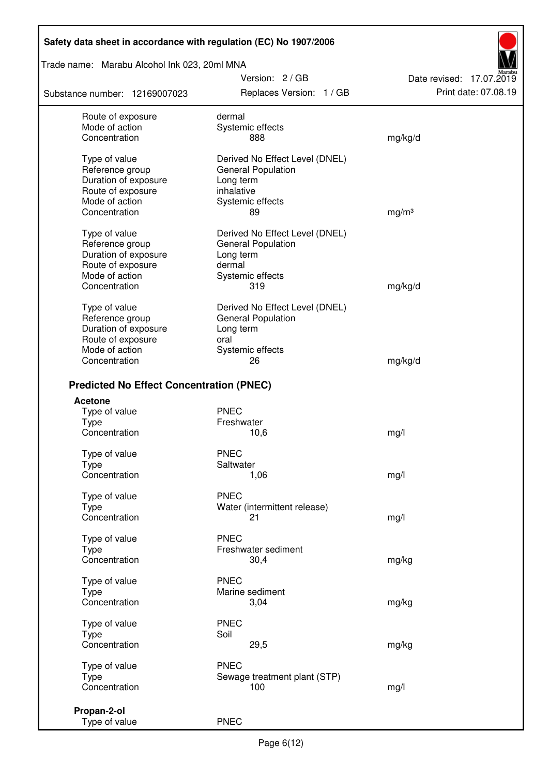Trade name: Marabu Alcohol Ink 023, 20ml MNA

Substance number: 12169007023

Version: 2 / GB Replaces Version: 1 / GB Print date: 07.08.19

Date revised: 17.07.2019

| Route of exposure<br>Mode of action<br>Concentration                          | dermal<br>Systemic effects<br>888                                                | mg/kg/d           |
|-------------------------------------------------------------------------------|----------------------------------------------------------------------------------|-------------------|
| Type of value<br>Reference group<br>Duration of exposure                      | Derived No Effect Level (DNEL)<br><b>General Population</b><br>Long term         |                   |
| Route of exposure<br>Mode of action<br>Concentration                          | inhalative<br>Systemic effects<br>89                                             | mg/m <sup>3</sup> |
| Type of value<br>Reference group<br>Duration of exposure                      | Derived No Effect Level (DNEL)<br><b>General Population</b><br>Long term         |                   |
| Route of exposure<br>Mode of action<br>Concentration                          | dermal<br>Systemic effects<br>319                                                | mg/kg/d           |
| Type of value<br>Reference group<br>Duration of exposure<br>Route of exposure | Derived No Effect Level (DNEL)<br><b>General Population</b><br>Long term<br>oral |                   |
| Mode of action<br>Concentration                                               | Systemic effects<br>26                                                           | mg/kg/d           |
| <b>Predicted No Effect Concentration (PNEC)</b>                               |                                                                                  |                   |
| <b>Acetone</b>                                                                |                                                                                  |                   |
| Type of value<br><b>Type</b>                                                  | <b>PNEC</b><br>Freshwater                                                        |                   |
| Concentration                                                                 | 10,6                                                                             | mg/l              |
| Type of value                                                                 | <b>PNEC</b>                                                                      |                   |
| <b>Type</b><br>Concentration                                                  | Saltwater<br>1,06                                                                | mg/l              |
| Type of value                                                                 | <b>PNEC</b>                                                                      |                   |
| Type<br>Concentration                                                         | Water (intermittent release)<br>21                                               | mg/l              |
| Type of value<br>Type                                                         | <b>PNEC</b><br>Freshwater sediment                                               |                   |
| Concentration                                                                 | 30,4                                                                             | mg/kg             |
| Type of value                                                                 | <b>PNEC</b>                                                                      |                   |
| Type<br>Concentration                                                         | Marine sediment<br>3,04                                                          | mg/kg             |
| Type of value                                                                 | <b>PNEC</b><br>Soil                                                              |                   |
| <b>Type</b><br>Concentration                                                  | 29,5                                                                             | mg/kg             |
| Type of value                                                                 | <b>PNEC</b>                                                                      |                   |
| Type<br>Concentration                                                         | Sewage treatment plant (STP)<br>100                                              | mg/l              |
| Propan-2-ol                                                                   |                                                                                  |                   |
| Type of value                                                                 | <b>PNEC</b>                                                                      |                   |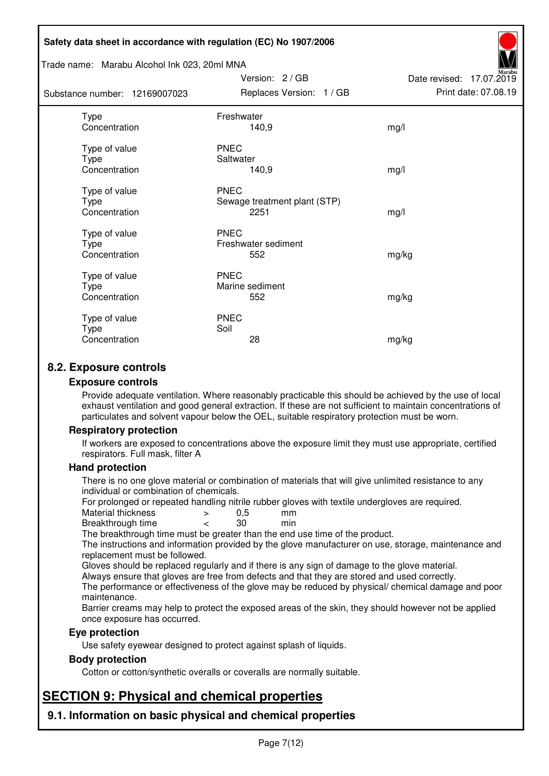#### Trade name: Marabu Alcohol Ink 023, 20ml MNA

Subs<sup>t</sup>

| tance number: 12169007023              | Replaces Version: 1 / GB                            | Print date: 07.08.19 |
|----------------------------------------|-----------------------------------------------------|----------------------|
| Type<br>Concentration                  | Freshwater<br>140,9                                 | mg/l                 |
| Type of value<br>Type<br>Concentration | <b>PNEC</b><br>Saltwater<br>140,9                   | mg/l                 |
| Type of value<br>Type<br>Concentration | <b>PNEC</b><br>Sewage treatment plant (STP)<br>2251 | mg/l                 |
| Type of value<br>Type<br>Concentration | <b>PNEC</b><br>Freshwater sediment<br>552           | mg/kg                |
| Type of value<br>Type<br>Concentration | <b>PNEC</b><br>Marine sediment<br>552               | mg/kg                |
| Type of value<br>Type<br>Concentration | <b>PNEC</b><br>Soil<br>28                           | mg/kg                |

Version: 2 / GB

Date revised: 17.07.2019

# **8.2. Exposure controls**

#### **Exposure controls**

Provide adequate ventilation. Where reasonably practicable this should be achieved by the use of local exhaust ventilation and good general extraction. If these are not sufficient to maintain concentrations of particulates and solvent vapour below the OEL, suitable respiratory protection must be worn.

#### **Respiratory protection**

If workers are exposed to concentrations above the exposure limit they must use appropriate, certified respirators. Full mask, filter A

#### **Hand protection**

There is no one glove material or combination of materials that will give unlimited resistance to any individual or combination of chemicals.

For prolonged or repeated handling nitrile rubber gloves with textile undergloves are required.<br>Material thickness  $\geq 0.5$  mm

- Material thickness  $\begin{array}{ccc} 0.5 \\ -8.5 \end{array}$  Material thickness  $\begin{array}{ccc} 0.5 \\ -8.5 \end{array}$
- Breakthrough time < 30 min

The breakthrough time must be greater than the end use time of the product.

The instructions and information provided by the glove manufacturer on use, storage, maintenance and replacement must be followed.

Gloves should be replaced regularly and if there is any sign of damage to the glove material.

Always ensure that gloves are free from defects and that they are stored and used correctly.

The performance or effectiveness of the glove may be reduced by physical/ chemical damage and poor maintenance.

Barrier creams may help to protect the exposed areas of the skin, they should however not be applied once exposure has occurred.

#### **Eye protection**

Use safety eyewear designed to protect against splash of liquids.

#### **Body protection**

Cotton or cotton/synthetic overalls or coveralls are normally suitable.

# **SECTION 9: Physical and chemical properties**

**9.1. Information on basic physical and chemical properties**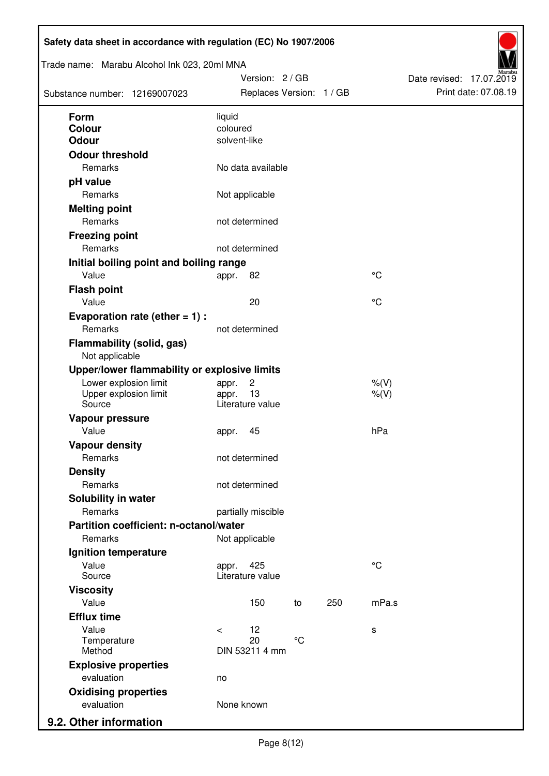| Trade name: Marabu Alcohol Ink 023, 20ml MNA<br>Substance number: 12169007023 | Version: 2 / GB<br>Replaces Version: 1 / GB |             |     |             | Date revised: 17.07.2019<br>Print date: 07.08.19 |  |
|-------------------------------------------------------------------------------|---------------------------------------------|-------------|-----|-------------|--------------------------------------------------|--|
| <b>Form</b>                                                                   | liquid                                      |             |     |             |                                                  |  |
| <b>Colour</b>                                                                 | coloured                                    |             |     |             |                                                  |  |
| <b>Odour</b>                                                                  | solvent-like                                |             |     |             |                                                  |  |
| <b>Odour threshold</b>                                                        |                                             |             |     |             |                                                  |  |
| Remarks                                                                       | No data available                           |             |     |             |                                                  |  |
| pH value                                                                      |                                             |             |     |             |                                                  |  |
| Remarks                                                                       | Not applicable                              |             |     |             |                                                  |  |
| <b>Melting point</b>                                                          |                                             |             |     |             |                                                  |  |
| Remarks                                                                       | not determined                              |             |     |             |                                                  |  |
| <b>Freezing point</b>                                                         |                                             |             |     |             |                                                  |  |
| Remarks                                                                       | not determined                              |             |     |             |                                                  |  |
| Initial boiling point and boiling range                                       |                                             |             |     |             |                                                  |  |
| Value                                                                         | 82<br>appr.                                 |             |     | °C          |                                                  |  |
| <b>Flash point</b>                                                            |                                             |             |     |             |                                                  |  |
| Value                                                                         | 20                                          |             |     | °C          |                                                  |  |
| Evaporation rate (ether $= 1$ ) :                                             |                                             |             |     |             |                                                  |  |
| Remarks                                                                       | not determined                              |             |     |             |                                                  |  |
| <b>Flammability (solid, gas)</b><br>Not applicable                            |                                             |             |     |             |                                                  |  |
| Upper/lower flammability or explosive limits                                  |                                             |             |     |             |                                                  |  |
| Lower explosion limit                                                         | $\overline{c}$<br>appr.                     |             |     | $%$ $(V)$   |                                                  |  |
| Upper explosion limit<br>Source                                               | 13<br>appr.<br>Literature value             |             |     | $%$ (V)     |                                                  |  |
|                                                                               |                                             |             |     |             |                                                  |  |
| Vapour pressure<br>Value                                                      |                                             |             |     | hPa         |                                                  |  |
|                                                                               | 45<br>appr.                                 |             |     |             |                                                  |  |
| <b>Vapour density</b><br>Remarks                                              | not determined                              |             |     |             |                                                  |  |
| <b>Density</b>                                                                |                                             |             |     |             |                                                  |  |
| Remarks                                                                       | not determined                              |             |     |             |                                                  |  |
| Solubility in water                                                           |                                             |             |     |             |                                                  |  |
| Remarks                                                                       | partially miscible                          |             |     |             |                                                  |  |
| Partition coefficient: n-octanol/water                                        |                                             |             |     |             |                                                  |  |
| Remarks                                                                       | Not applicable                              |             |     |             |                                                  |  |
| Ignition temperature                                                          |                                             |             |     |             |                                                  |  |
| Value                                                                         | 425<br>appr.                                |             |     | $^{\circ}C$ |                                                  |  |
| Source                                                                        | Literature value                            |             |     |             |                                                  |  |
| <b>Viscosity</b>                                                              |                                             |             |     |             |                                                  |  |
| Value                                                                         | 150                                         | to          | 250 | mPa.s       |                                                  |  |
| <b>Efflux time</b>                                                            |                                             |             |     |             |                                                  |  |
| Value                                                                         | 12<br>$\prec$                               |             |     | s           |                                                  |  |
| Temperature                                                                   | 20                                          | $^{\circ}C$ |     |             |                                                  |  |
| Method                                                                        | DIN 53211 4 mm                              |             |     |             |                                                  |  |
| <b>Explosive properties</b>                                                   |                                             |             |     |             |                                                  |  |
| evaluation                                                                    | no                                          |             |     |             |                                                  |  |
| <b>Oxidising properties</b>                                                   |                                             |             |     |             |                                                  |  |
| evaluation                                                                    | None known                                  |             |     |             |                                                  |  |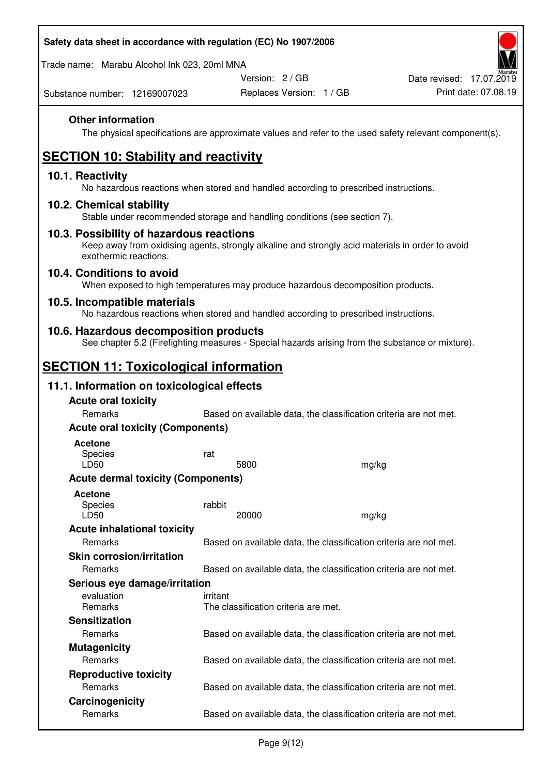Trade name: Marabu Alcohol Ink 023, 20ml MNA

Version: 2 / GB

Substance number: 12169007023

### **Other information**

The physical specifications are approximate values and refer to the used safety relevant component(s).

# **SECTION 10: Stability and reactivity**

#### **10.1. Reactivity**

No hazardous reactions when stored and handled according to prescribed instructions.

#### **10.2. Chemical stability**

Stable under recommended storage and handling conditions (see section 7).

#### **10.3. Possibility of hazardous reactions**

Keep away from oxidising agents, strongly alkaline and strongly acid materials in order to avoid exothermic reactions.

#### **10.4. Conditions to avoid**

When exposed to high temperatures may produce hazardous decomposition products.

#### **10.5. Incompatible materials**

No hazardous reactions when stored and handled according to prescribed instructions.

### **10.6. Hazardous decomposition products**

See chapter 5.2 (Firefighting measures - Special hazards arising from the substance or mixture).

# **SECTION 11: Toxicological information**

### **11.1. Information on toxicological effects**

| <b>Acute oral toxicity</b>                |                                                                   |       |  |
|-------------------------------------------|-------------------------------------------------------------------|-------|--|
| Remarks                                   | Based on available data, the classification criteria are not met. |       |  |
| <b>Acute oral toxicity (Components)</b>   |                                                                   |       |  |
| <b>Acetone</b><br><b>Species</b><br>LD50  | rat<br>5800                                                       | mg/kg |  |
| <b>Acute dermal toxicity (Components)</b> |                                                                   |       |  |
| <b>Acetone</b><br>Species<br>LD50         | rabbit<br>20000                                                   | mg/kg |  |
| <b>Acute inhalational toxicity</b>        |                                                                   |       |  |
| Remarks                                   | Based on available data, the classification criteria are not met. |       |  |
| <b>Skin corrosion/irritation</b>          |                                                                   |       |  |
| Remarks                                   | Based on available data, the classification criteria are not met. |       |  |
| Serious eye damage/irritation             |                                                                   |       |  |
| evaluation<br><b>Remarks</b>              | irritant<br>The classification criteria are met.                  |       |  |
| <b>Sensitization</b>                      |                                                                   |       |  |
| Remarks                                   | Based on available data, the classification criteria are not met. |       |  |
| <b>Mutagenicity</b>                       |                                                                   |       |  |
| <b>Remarks</b>                            | Based on available data, the classification criteria are not met. |       |  |
| <b>Reproductive toxicity</b>              |                                                                   |       |  |
| Remarks                                   | Based on available data, the classification criteria are not met. |       |  |
| Carcinogenicity                           |                                                                   |       |  |
| Remarks                                   | Based on available data, the classification criteria are not met. |       |  |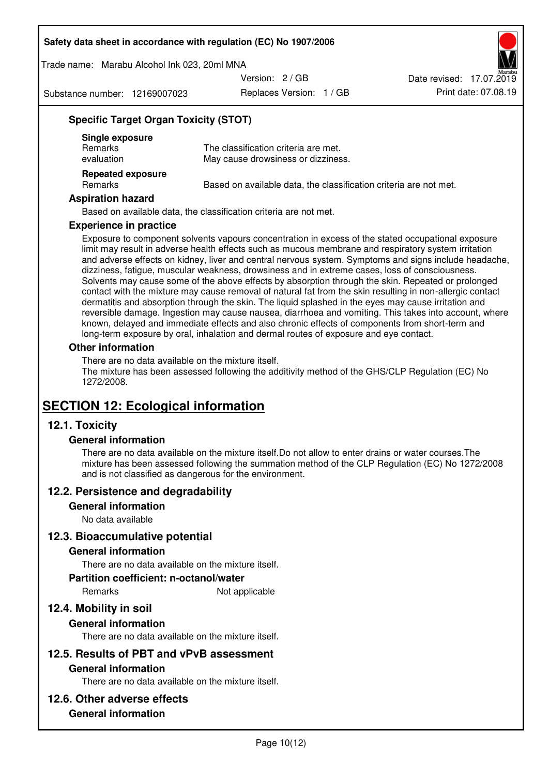Trade name: Marabu Alcohol Ink 023, 20ml MNA

Version: 2 / GB

Substance number: 12169007023

Replaces Version: 1 / GB Print date: 07.08.19 Date revised: 17.07.2019

### **Specific Target Organ Toxicity (STOT)**

| Single exposure<br><b>Remarks</b><br>evaluation | The classification criteria are met.<br>May cause drowsiness or dizziness. |
|-------------------------------------------------|----------------------------------------------------------------------------|
| <b>Repeated exposure</b><br>Remarks             | Based on available data, the classification criteria are not met.          |

#### **Aspiration hazard**

Based on available data, the classification criteria are not met.

#### **Experience in practice**

Exposure to component solvents vapours concentration in excess of the stated occupational exposure limit may result in adverse health effects such as mucous membrane and respiratory system irritation and adverse effects on kidney, liver and central nervous system. Symptoms and signs include headache, dizziness, fatigue, muscular weakness, drowsiness and in extreme cases, loss of consciousness. Solvents may cause some of the above effects by absorption through the skin. Repeated or prolonged contact with the mixture may cause removal of natural fat from the skin resulting in non-allergic contact dermatitis and absorption through the skin. The liquid splashed in the eyes may cause irritation and reversible damage. Ingestion may cause nausea, diarrhoea and vomiting. This takes into account, where known, delayed and immediate effects and also chronic effects of components from short-term and long-term exposure by oral, inhalation and dermal routes of exposure and eye contact.

#### **Other information**

There are no data available on the mixture itself. The mixture has been assessed following the additivity method of the GHS/CLP Regulation (EC) No 1272/2008.

# **SECTION 12: Ecological information**

### **12.1. Toxicity**

#### **General information**

There are no data available on the mixture itself.Do not allow to enter drains or water courses.The mixture has been assessed following the summation method of the CLP Regulation (EC) No 1272/2008 and is not classified as dangerous for the environment.

#### **12.2. Persistence and degradability**

#### **General information**

No data available

#### **12.3. Bioaccumulative potential**

#### **General information**

There are no data available on the mixture itself.

#### **Partition coefficient: n-octanol/water**

Remarks Not applicable

# **12.4. Mobility in soil**

#### **General information**

There are no data available on the mixture itself.

#### **12.5. Results of PBT and vPvB assessment**

#### **General information**

There are no data available on the mixture itself.

#### **12.6. Other adverse effects**

### **General information**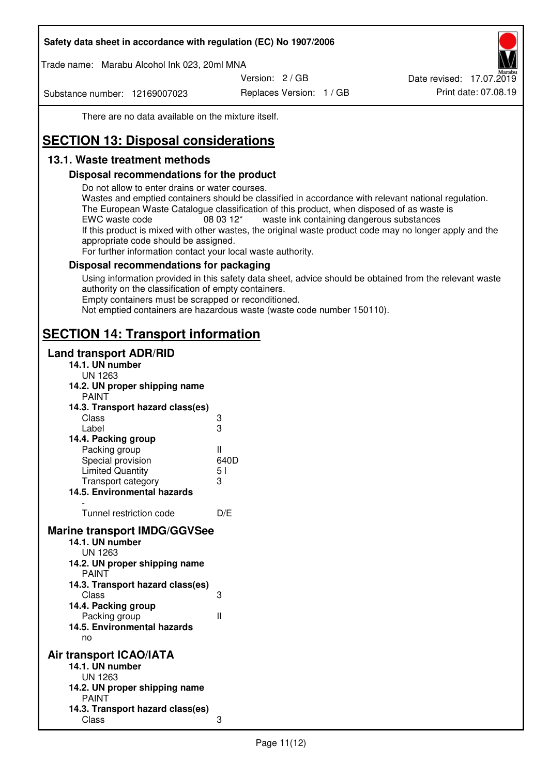Trade name: Marabu Alcohol Ink 023, 20ml MNA

Version: 2 / GB

Substance number: 12169007023

Replaces Version: 1 / GB Print date: 07.08.19 Date revised: 17.07.2019

There are no data available on the mixture itself.

# **SECTION 13: Disposal considerations**

# **13.1. Waste treatment methods**

### **Disposal recommendations for the product**

Do not allow to enter drains or water courses.

Wastes and emptied containers should be classified in accordance with relevant national regulation. The European Waste Catalogue classification of this product, when disposed of as waste is EWC waste code  $08\,03\,12^*$  waste ink containing dangerous substances If this product is mixed with other wastes, the original waste product code may no longer apply and the appropriate code should be assigned.

For further information contact your local waste authority.

### **Disposal recommendations for packaging**

Using information provided in this safety data sheet, advice should be obtained from the relevant waste authority on the classification of empty containers. Empty containers must be scrapped or reconditioned.

Not emptied containers are hazardous waste (waste code number 150110).

# **SECTION 14: Transport information**

### **Land transport ADR/RID**

| 14.1. UN number<br><b>UN 1263</b>                                                                                                                                                                                                            |                   |
|----------------------------------------------------------------------------------------------------------------------------------------------------------------------------------------------------------------------------------------------|-------------------|
| 14.2. UN proper shipping name                                                                                                                                                                                                                |                   |
| <b>PAINT</b>                                                                                                                                                                                                                                 |                   |
| 14.3. Transport hazard class(es)                                                                                                                                                                                                             |                   |
| Class                                                                                                                                                                                                                                        |                   |
| Label                                                                                                                                                                                                                                        | ვ<br>ვ            |
| 14.4. Packing group                                                                                                                                                                                                                          |                   |
| Packing group                                                                                                                                                                                                                                | Ш                 |
| Special provision                                                                                                                                                                                                                            | 640D              |
| <b>Limited Quantity</b>                                                                                                                                                                                                                      | 5 <sub>1</sub>    |
| Transport category                                                                                                                                                                                                                           | 3                 |
| 14.5. Environmental hazards                                                                                                                                                                                                                  |                   |
| Tunnel restriction code                                                                                                                                                                                                                      | D/E               |
|                                                                                                                                                                                                                                              |                   |
| <b>Marine transport IMDG/GGVSee</b><br>14.1. UN number<br>UN 1263<br>14.2. UN proper shipping name<br><b>PAINT</b><br>14.3. Transport hazard class(es)<br>Class<br>14.4. Packing group<br>Packing group<br>14.5. Environmental hazards<br>no | 3<br>$\mathbf{I}$ |
| Air transport ICAO/IATA                                                                                                                                                                                                                      |                   |
| 14.1. UN number                                                                                                                                                                                                                              |                   |
| UN 1263                                                                                                                                                                                                                                      |                   |
| 14.2. UN proper shipping name<br><b>PAINT</b>                                                                                                                                                                                                |                   |
| 14.3. Transport hazard class(es)                                                                                                                                                                                                             |                   |
| Class                                                                                                                                                                                                                                        | 3                 |
|                                                                                                                                                                                                                                              |                   |